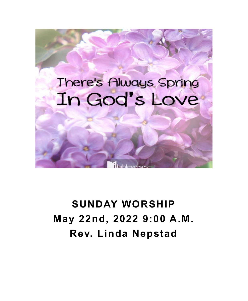

# **SUNDAY WORSHIP May 22nd, 2022 9:00 A.M. Rev. Linda Nepstad**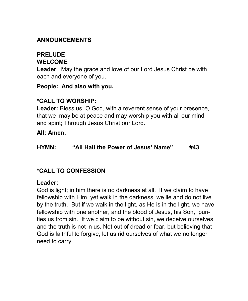# **ANNOUNCEMENTS**

#### **PRELUDE WELCOME**

**Leader**: May the grace and love of our Lord Jesus Christ be with each and everyone of you.

**People: And also with you.**

# **\*CALL TO WORSHIP:**

**Leader:** Bless us, O God, with a reverent sense of your presence, that we may be at peace and may worship you with all our mind and spirit; Through Jesus Christ our Lord.

**All: Amen.** 

#### **HYMN: "All Hail the Power of Jesus' Name" #43**

# **\*CALL TO CONFESSION**

#### **Leader:**

God is light; in him there is no darkness at all. If we claim to have fellowship with Him, yet walk in the darkness, we lie and do not live by the truth. But if we walk in the light, as He is in the light, we have fellowship with one another, and the blood of Jesus, his Son, purifies us from sin. If we claim to be without sin, we deceive ourselves and the truth is not in us. Not out of dread or fear, but believing that God is faithful to forgive, let us rid ourselves of what we no longer need to carry.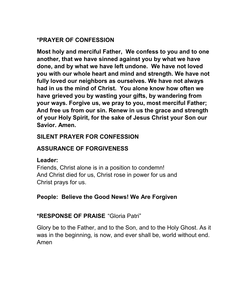# **\*PRAYER OF CONFESSION**

**Most holy and merciful Father, We confess to you and to one another, that we have sinned against you by what we have done, and by what we have left undone. We have not loved you with our whole heart and mind and strength. We have not fully loved our neighbors as ourselves. We have not always had in us the mind of Christ. You alone know how often we have grieved you by wasting your gifts, by wandering from your ways. Forgive us, we pray to you, most merciful Father; And free us from our sin. Renew in us the grace and strength of your Holy Spirit, for the sake of Jesus Christ your Son our Savior. Amen.** 

# **SILENT PRAYER FOR CONFESSION**

# **ASSURANCE OF FORGIVENESS**

#### **Leader:**

Friends, Christ alone is in a position to condemn! And Christ died for us, Christ rose in power for us and Christ prays for us.

# **People: Believe the Good News! We Are Forgiven**

# **\*RESPONSE OF PRAISE** "Gloria Patri"

Glory be to the Father, and to the Son, and to the Holy Ghost. As it was in the beginning, is now, and ever shall be, world without end. Amen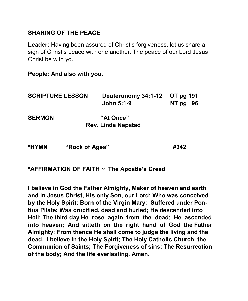## **SHARING OF THE PEACE**

**Leader:** Having been assured of Christ's forgiveness, let us share a sign of Christ's peace with one another. The peace of our Lord Jesus Christ be with you.

**People: And also with you.**

| <b>SCRIPTURE LESSON</b> |                | Deuteronomy 34:1-12 OT pg 191<br>John 5:1-9 | NT pg | - 96 |
|-------------------------|----------------|---------------------------------------------|-------|------|
| <b>SERMON</b>           |                | "At Once"                                   |       |      |
|                         |                | <b>Rev. Linda Nepstad</b>                   |       |      |
| *HYMN                   | "Rock of Ages" |                                             | #342  |      |

**\*AFFIRMATION OF FAITH ~ The Apostle's Creed**

**I believe in God the Father Almighty, Maker of heaven and earth and in Jesus Christ, His only Son, our Lord; Who was conceived by the Holy Spirit; Born of the Virgin Mary; Suffered under Pontius Pilate; Was crucified, dead and buried; He descended into Hell; The third day He rose again from the dead; He ascended into heaven; And sitteth on the right hand of God the Father Almighty; From thence He shall come to judge the living and the dead. I believe in the Holy Spirit; The Holy Catholic Church, the Communion of Saints; The Forgiveness of sins; The Resurrection of the body; And the life everlasting. Amen.**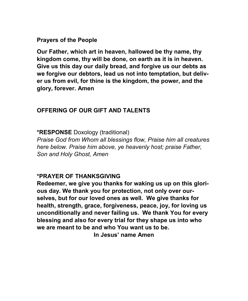**Prayers of the People**

**Our Father, which art in heaven, hallowed be thy name, thy kingdom come, thy will be done, on earth as it is in heaven. Give us this day our daily bread, and forgive us our debts as we forgive our debtors, lead us not into temptation, but deliver us from evil, for thine is the kingdom, the power, and the glory, forever. Amen**

### **OFFERING OF OUR GIFT AND TALENTS**

**\*RESPONSE** Doxology (traditional)

*Praise God from Whom all blessings flow, Praise him all creatures here below. Praise him above, ye heavenly host; praise Father, Son and Holy Ghost, Amen*

#### **\*PRAYER OF THANKSGIVING**

**Redeemer, we give you thanks for waking us up on this glorious day. We thank you for protection, not only over ourselves, but for our loved ones as well. We give thanks for health, strength, grace, forgiveness, peace, joy, for loving us unconditionally and never failing us. We thank You for every blessing and also for every trial for they shape us into who we are meant to be and who You want us to be.**

**In Jesus' name Amen**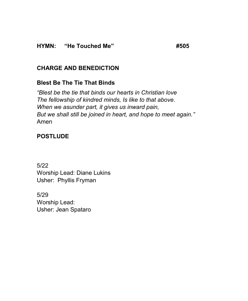# **CHARGE AND BENEDICTION**

# **Blest Be The Tie That Binds**

*"Blest be the tie that binds our hearts in Christian love The fellowship of kindred minds, Is like to that above. When we asunder part, it gives us inward pain, But we shall still be joined in heart, and hope to meet again."* Amen

# **POSTLUDE**

5/22 Worship Lead: Diane Lukins Usher: Phyllis Fryman

5/29 Worship Lead: Usher: Jean Spataro